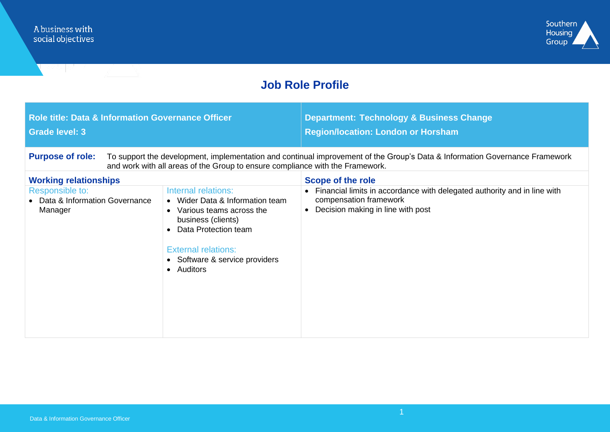

## **Job Role Profile**

| <b>Role title: Data &amp; Information Governance Officer</b><br><b>Grade level: 3</b>                                                                                                                                                   |                                                                                                                                                                                                                  | <b>Department: Technology &amp; Business Change</b><br><b>Region/location: London or Horsham</b>                                                     |  |  |
|-----------------------------------------------------------------------------------------------------------------------------------------------------------------------------------------------------------------------------------------|------------------------------------------------------------------------------------------------------------------------------------------------------------------------------------------------------------------|------------------------------------------------------------------------------------------------------------------------------------------------------|--|--|
| <b>Purpose of role:</b><br>To support the development, implementation and continual improvement of the Group's Data & Information Governance Framework<br>and work with all areas of the Group to ensure compliance with the Framework. |                                                                                                                                                                                                                  |                                                                                                                                                      |  |  |
| <b>Working relationships</b>                                                                                                                                                                                                            |                                                                                                                                                                                                                  | Scope of the role                                                                                                                                    |  |  |
| Responsible to:<br>Data & Information Governance<br>Manager                                                                                                                                                                             | Internal relations:<br>• Wider Data & Information team<br>• Various teams across the<br>business (clients)<br>Data Protection team<br><b>External relations:</b><br>• Software & service providers<br>• Auditors | Financial limits in accordance with delegated authority and in line with<br>compensation framework<br>Decision making in line with post<br>$\bullet$ |  |  |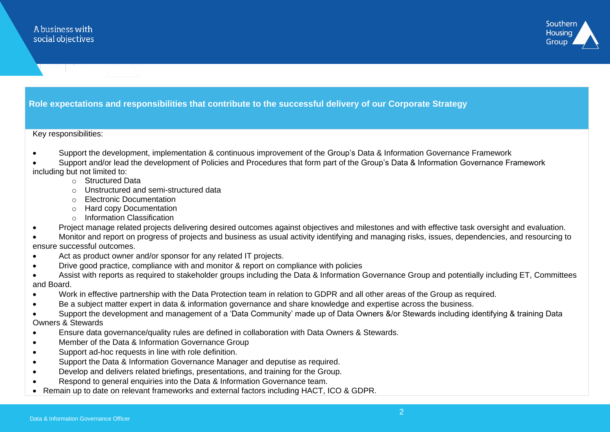

### **Role expectations and responsibilities that contribute to the successful delivery of our Corporate Strategy**

#### Key responsibilities:

- Support the development, implementation & continuous improvement of the Group's Data & Information Governance Framework
- Support and/or lead the development of Policies and Procedures that form part of the Group's Data & Information Governance Framework including but not limited to:
	- o Structured Data
	- o Unstructured and semi-structured data
	- o Electronic Documentation
	- o Hard copy Documentation
	- o Information Classification
- Project manage related projects delivering desired outcomes against objectives and milestones and with effective task oversight and evaluation.
- Monitor and report on progress of projects and business as usual activity identifying and managing risks, issues, dependencies, and resourcing to ensure successful outcomes.
- Act as product owner and/or sponsor for any related IT projects.
- Drive good practice, compliance with and monitor & report on compliance with policies
- Assist with reports as required to stakeholder groups including the Data & Information Governance Group and potentially including ET, Committees and Board.
- Work in effective partnership with the Data Protection team in relation to GDPR and all other areas of the Group as required.
- Be a subject matter expert in data & information governance and share knowledge and expertise across the business.
- Support the development and management of a 'Data Community' made up of Data Owners &/or Stewards including identifying & training Data Owners & Stewards
- Ensure data governance/quality rules are defined in collaboration with Data Owners & Stewards.
- Member of the Data & Information Governance Group
- Support ad-hoc requests in line with role definition.
- Support the Data & Information Governance Manager and deputise as required.
- Develop and delivers related briefings, presentations, and training for the Group.
- Respond to general enquiries into the Data & Information Governance team.
- Remain up to date on relevant frameworks and external factors including HACT, ICO & GDPR.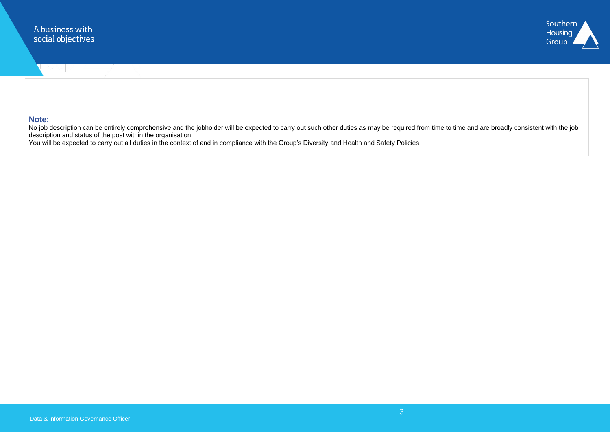

#### **Note:**

No job description can be entirely comprehensive and the jobholder will be expected to carry out such other duties as may be required from time to time and are broadly consistent with the job description and status of the post within the organisation.

You will be expected to carry out all duties in the context of and in compliance with the Group's Diversity and Health and Safety Policies.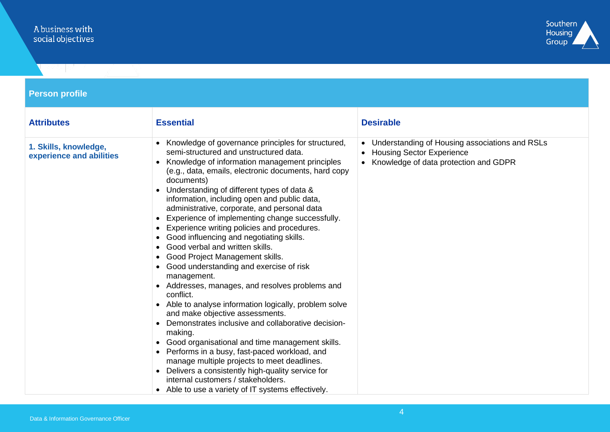# A business with<br>social objectives



| <b>Person profile</b>                             |                                                                                                                                                                                                                                                                                                                                                                                                                                                                                                                                                                                                                                                                                                                                                                                                                                                                                                                                                                                                                                                                                                                                                                                  |                                                                                                                            |  |  |
|---------------------------------------------------|----------------------------------------------------------------------------------------------------------------------------------------------------------------------------------------------------------------------------------------------------------------------------------------------------------------------------------------------------------------------------------------------------------------------------------------------------------------------------------------------------------------------------------------------------------------------------------------------------------------------------------------------------------------------------------------------------------------------------------------------------------------------------------------------------------------------------------------------------------------------------------------------------------------------------------------------------------------------------------------------------------------------------------------------------------------------------------------------------------------------------------------------------------------------------------|----------------------------------------------------------------------------------------------------------------------------|--|--|
| <b>Attributes</b>                                 | <b>Essential</b>                                                                                                                                                                                                                                                                                                                                                                                                                                                                                                                                                                                                                                                                                                                                                                                                                                                                                                                                                                                                                                                                                                                                                                 | <b>Desirable</b>                                                                                                           |  |  |
| 1. Skills, knowledge,<br>experience and abilities | Knowledge of governance principles for structured,<br>semi-structured and unstructured data.<br>Knowledge of information management principles<br>(e.g., data, emails, electronic documents, hard copy<br>documents)<br>Understanding of different types of data &<br>information, including open and public data,<br>administrative, corporate, and personal data<br>Experience of implementing change successfully.<br>Experience writing policies and procedures.<br>Good influencing and negotiating skills.<br>Good verbal and written skills.<br>Good Project Management skills.<br>Good understanding and exercise of risk<br>management.<br>Addresses, manages, and resolves problems and<br>conflict.<br>• Able to analyse information logically, problem solve<br>and make objective assessments.<br>Demonstrates inclusive and collaborative decision-<br>making.<br>Good organisational and time management skills.<br>• Performs in a busy, fast-paced workload, and<br>manage multiple projects to meet deadlines.<br>Delivers a consistently high-quality service for<br>internal customers / stakeholders.<br>• Able to use a variety of IT systems effectively. | • Understanding of Housing associations and RSLs<br>• Housing Sector Experience<br>• Knowledge of data protection and GDPR |  |  |